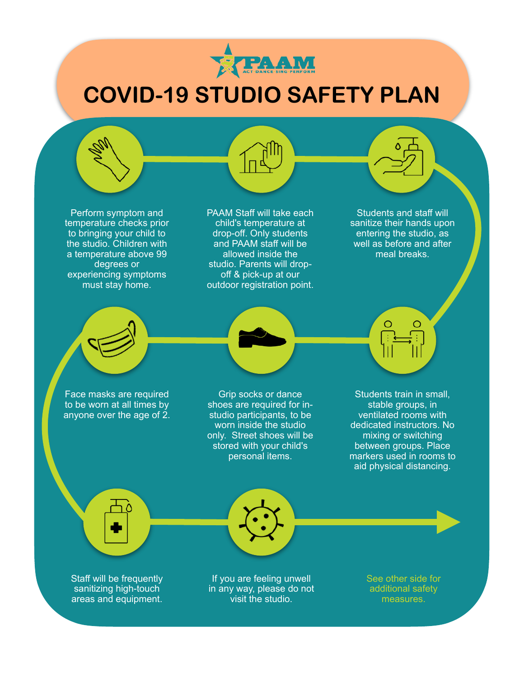

# **COVID-19 STUDIO SAFETY PLAN**

Perform symptom and temperature checks prior to bringing your child to the studio. Children with a temperature above 99 degrees or experiencing symptoms must stay home.

PAAM Staff will take each child's temperature at drop-off. Only students and PAAM staff will be allowed inside the studio. Parents will dropoff & pick-up at our outdoor registration point.

Students and staff will sanitize their hands upon entering the studio, as well as before and after meal breaks.

Face masks are required to be worn at all times by anyone over the age of  $2$ .

Grip socks or dance shoes are required for instudio participants, to be worn inside the studio only. Street shoes will be stored with your child's personal items.

Students train in small, stable groups, in ventilated rooms with dedicated instructors. No mixing or switching between groups. Place markers used in rooms to aid physical distancing.

Staff will be frequently sanitizing high-touch areas and equipment.

If you are feeling unwell in any way, please do not visit the studio.

See other side for additional safety measures.